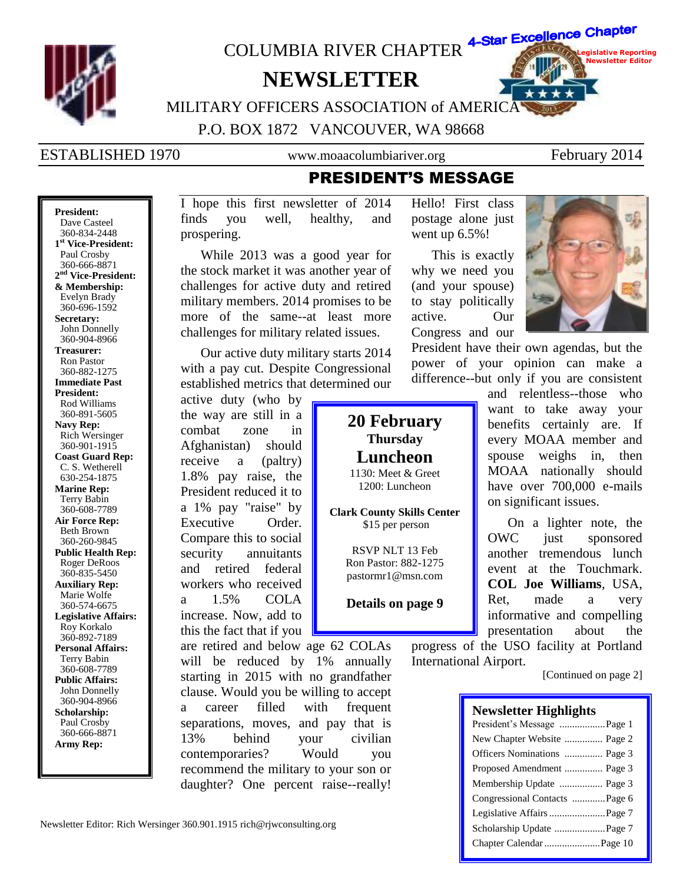

360-834-2448 **1 st Vice-President:** Paul Crosby 360-666-8871 **2 nd Vice-President: & Membership:** Evelyn Brady 360-696-1592 **Secretary:** John Donnelly 360-904-8966 **Treasurer:** Ron Pastor 360-882-1275 **Immediate Past President:** Rod Williams 360-891-5605 **Navy Rep:** Rich Wersinger 360-901-1915 **Coast Guard Rep:** C. S. Wetherell 630-254-1875 **Marine Rep:** Terry Babin 360-608-7789 **Air Force Rep:** Beth Brown 360-260-9845 **Public Health Rep:** Roger DeRoos 360-835-5450 **Auxiliary Rep:** Marie Wolfe 360-574-6675 **Legislative Affairs:** Roy Korkalo 360-892-7189 **Personal Affairs:** Terry Babin 360-608-7789 **Public Affairs:** John Donnelly 360-904-8966 **Scholarship:** Paul Crosby 360-666-8871 **Army Rep:**

prospering. While 2013 was a good year for

the stock market it was another year of challenges for active duty and retired military members. 2014 promises to be more of the same--at least more challenges for military related issues.

Our active duty military starts 2014 with a pay cut. Despite Congressional established metrics that determined our

active duty (who by the way are still in a combat zone in Afghanistan) should receive a (paltry) 1.8% pay raise, the President reduced it to a 1% pay "raise" by Executive Order. Compare this to social security annuitants and retired federal workers who received a 1.5% COLA increase. Now, add to this the fact that if you

are retired and below age 62 COLAs will be reduced by 1% annually starting in 2015 with no grandfather clause. Would you be willing to accept a career filled with frequent separations, moves, and pay that is 13% behind your civilian contemporaries? Would you recommend the military to your son or daughter? One percent raise--really!

went up  $6.5\%$ !

This is exactly why we need you (and your spouse) to stay politically active. Our Congress and our

**20 February Thursday Luncheon** 1130: Meet & Greet 1200: Luncheon

**Clark County Skills Center** \$15 per person

> RSVP NLT 13 Feb Ron Pastor: 882-1275 pastormr1@msn.com

> **Details on page 9**



President have their own agendas, but the power of your opinion can make a difference--but only if you are consistent

> and relentless--those who want to take away your benefits certainly are. If every MOAA member and spouse weighs in, then MOAA nationally should have over 700,000 e-mails on significant issues.

> On a lighter note, the OWC just sponsored another tremendous lunch event at the Touchmark. **COL Joe Williams**, USA, Ret, made a very informative and compelling presentation about the

progress of the USO facility at Portland International Airport.

[Continued on page 2]

### **Newsletter Highlights**

| President's Message Page 1    |
|-------------------------------|
| New Chapter Website  Page 2   |
| Officers Nominations  Page 3  |
| Proposed Amendment  Page 3    |
|                               |
| Congressional Contacts Page 6 |
|                               |
|                               |
|                               |

Newsletter Editor: Rich Wersinger 360.901.1915 rich@rjwconsulting.org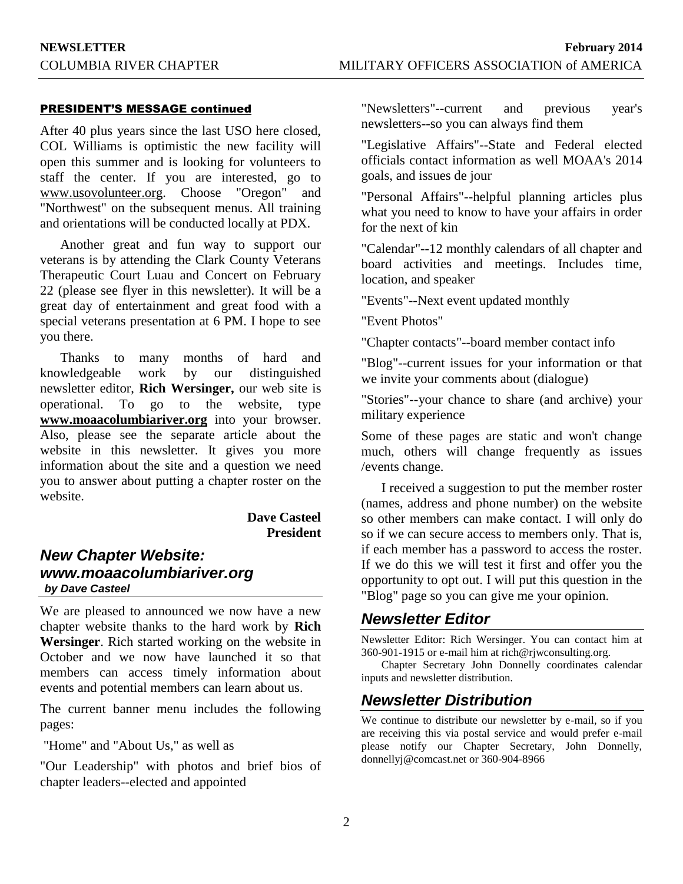### PRESIDENT'S MESSAGE continued

After 40 plus years since the last USO here closed, COL Williams is optimistic the new facility will open this summer and is looking for volunteers to staff the center. If you are interested, go to www.usovolunteer.org. Choose "Oregon" and "Northwest" on the subsequent menus. All training and orientations will be conducted locally at PDX.

Another great and fun way to support our veterans is by attending the Clark County Veterans Therapeutic Court Luau and Concert on February 22 (please see flyer in this newsletter). It will be a great day of entertainment and great food with a special veterans presentation at 6 PM. I hope to see you there.

Thanks to many months of hard and knowledgeable work by our distinguished newsletter editor, **Rich Wersinger,** our web site is operational. To go to the website, type **www.moaacolumbiariver.org** into your browser. Also, please see the separate article about the website in this newsletter. It gives you more information about the site and a question we need you to answer about putting a chapter roster on the website.

### **Dave Casteel President**

## *New Chapter Website: www.moaacolumbiariver.org by Dave Casteel*

We are pleased to announced we now have a new chapter website thanks to the hard work by **Rich Wersinger**. Rich started working on the website in October and we now have launched it so that members can access timely information about events and potential members can learn about us.

The current banner menu includes the following pages:

"Home" and "About Us," as well as

"Our Leadership" with photos and brief bios of chapter leaders--elected and appointed

"Newsletters"--current and previous year's newsletters--so you can always find them

"Legislative Affairs"--State and Federal elected officials contact information as well MOAA's 2014 goals, and issues de jour

"Personal Affairs"--helpful planning articles plus what you need to know to have your affairs in order for the next of kin

"Calendar"--12 monthly calendars of all chapter and board activities and meetings. Includes time, location, and speaker

"Events"--Next event updated monthly

"Event Photos"

"Chapter contacts"--board member contact info

"Blog"--current issues for your information or that we invite your comments about (dialogue)

"Stories"--your chance to share (and archive) your military experience

Some of these pages are static and won't change much, others will change frequently as issues /events change.

I received a suggestion to put the member roster (names, address and phone number) on the website so other members can make contact. I will only do so if we can secure access to members only. That is, if each member has a password to access the roster. If we do this we will test it first and offer you the opportunity to opt out. I will put this question in the "Blog" page so you can give me your opinion.

## *Newsletter Editor*

Newsletter Editor: Rich Wersinger. You can contact him at 360-901-1915 or e-mail him at rich@rjwconsulting.org.

Chapter Secretary John Donnelly coordinates calendar inputs and newsletter distribution.

## *Newsletter Distribution*

We continue to distribute our newsletter by e-mail, so if you are receiving this via postal service and would prefer e-mail please notify our Chapter Secretary, John Donnelly, donnellyj@comcast.net or 360-904-8966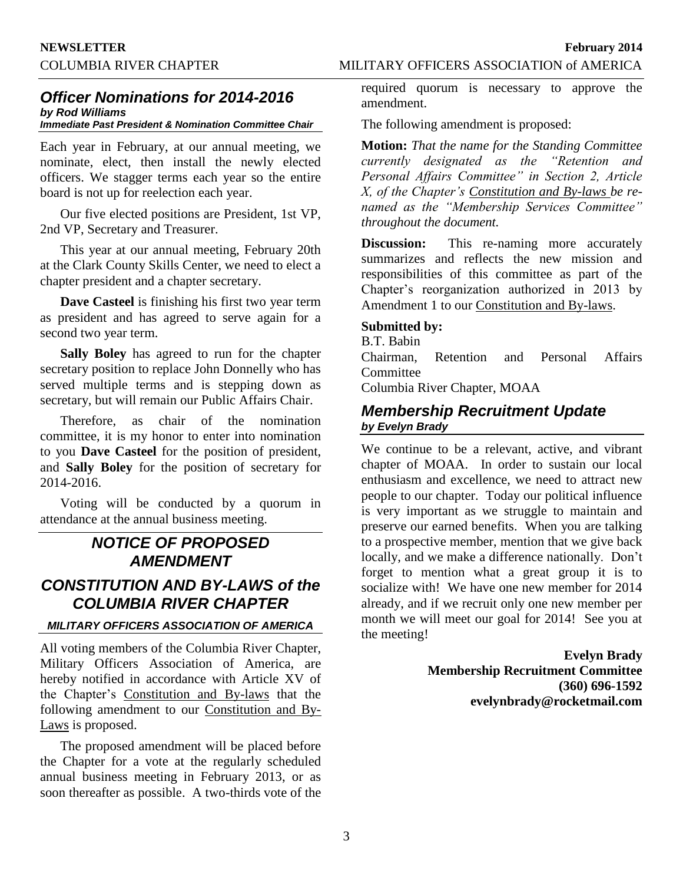### COLUMBIA RIVER CHAPTER MILITARY OFFICERS ASSOCIATION of AMERICA

## *Officer Nominations for 2014-2016 by Rod Williams*

## *Immediate Past President & Nomination Committee Chair*

Each year in February, at our annual meeting, we nominate, elect, then install the newly elected officers. We stagger terms each year so the entire board is not up for reelection each year.

Our five elected positions are President, 1st VP, 2nd VP, Secretary and Treasurer.

This year at our annual meeting, February 20th at the Clark County Skills Center, we need to elect a chapter president and a chapter secretary.

**Dave Casteel** is finishing his first two year term as president and has agreed to serve again for a second two year term.

**Sally Boley** has agreed to run for the chapter secretary position to replace John Donnelly who has served multiple terms and is stepping down as secretary, but will remain our Public Affairs Chair.

Therefore, as chair of the nomination committee, it is my honor to enter into nomination to you **Dave Casteel** for the position of president, and **Sally Boley** for the position of secretary for 2014-2016.

Voting will be conducted by a quorum in attendance at the annual business meeting.

## *NOTICE OF PROPOSED AMENDMENT*

## *CONSTITUTION AND BY-LAWS of the COLUMBIA RIVER CHAPTER*

### *MILITARY OFFICERS ASSOCIATION OF AMERICA*

All voting members of the Columbia River Chapter, Military Officers Association of America, are hereby notified in accordance with Article XV of the Chapter's Constitution and By-laws that the following amendment to our Constitution and By-Laws is proposed.

The proposed amendment will be placed before the Chapter for a vote at the regularly scheduled annual business meeting in February 2013, or as soon thereafter as possible. A two-thirds vote of the required quorum is necessary to approve the amendment.

The following amendment is proposed:

**Motion:** *That the name for the Standing Committee currently designated as the "Retention and Personal Affairs Committee" in Section 2, Article X, of the Chapter's Constitution and By-laws be renamed as the "Membership Services Committee" throughout the document.*

**Discussion:** This re-naming more accurately summarizes and reflects the new mission and responsibilities of this committee as part of the Chapter's reorganization authorized in 2013 by Amendment 1 to our Constitution and By-laws.

### **Submitted by:**

B.T. Babin Chairman, Retention and Personal Affairs **Committee** Columbia River Chapter, MOAA

## *Membership Recruitment Update by Evelyn Brady*

We continue to be a relevant, active, and vibrant chapter of MOAA. In order to sustain our local enthusiasm and excellence, we need to attract new people to our chapter. Today our political influence is very important as we struggle to maintain and preserve our earned benefits. When you are talking to a prospective member, mention that we give back locally, and we make a difference nationally. Don't forget to mention what a great group it is to socialize with! We have one new member for 2014 already, and if we recruit only one new member per month we will meet our goal for 2014! See you at the meeting!

> **Evelyn Brady Membership Recruitment Committee (360) 696-1592 evelynbrady@rocketmail.com**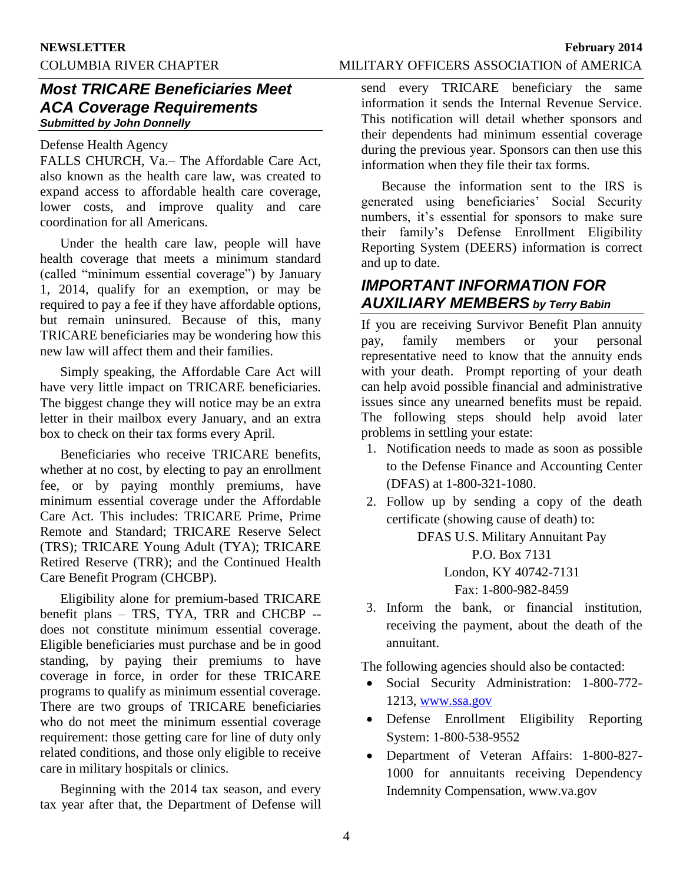## COLUMBIA RIVER CHAPTER MILITARY OFFICERS ASSOCIATION of AMERICA

## *Most TRICARE Beneficiaries Meet ACA Coverage Requirements Submitted by John Donnelly*

## Defense Health Agency

FALLS CHURCH, Va.– The Affordable Care Act, also known as the health care law, was created to expand access to affordable health care coverage, lower costs, and improve quality and care coordination for all Americans.

Under the health care law, people will have health coverage that meets a minimum standard (called "minimum essential coverage") by January 1, 2014, qualify for an exemption, or may be required to pay a fee if they have affordable options, but remain uninsured. Because of this, many TRICARE beneficiaries may be wondering how this new law will affect them and their families.

Simply speaking, the Affordable Care Act will have very little impact on TRICARE beneficiaries. The biggest change they will notice may be an extra letter in their mailbox every January, and an extra box to check on their tax forms every April.

Beneficiaries who receive TRICARE benefits, whether at no cost, by electing to pay an enrollment fee, or by paying monthly premiums, have minimum essential coverage under the Affordable Care Act. This includes: TRICARE Prime, Prime Remote and Standard; TRICARE Reserve Select (TRS); TRICARE Young Adult (TYA); TRICARE Retired Reserve (TRR); and the Continued Health Care Benefit Program (CHCBP).

Eligibility alone for premium-based TRICARE benefit plans – TRS, TYA, TRR and CHCBP - does not constitute minimum essential coverage. Eligible beneficiaries must purchase and be in good standing, by paying their premiums to have coverage in force, in order for these TRICARE programs to qualify as minimum essential coverage. There are two groups of TRICARE beneficiaries who do not meet the minimum essential coverage requirement: those getting care for line of duty only related conditions, and those only eligible to receive care in military hospitals or clinics.

Beginning with the 2014 tax season, and every tax year after that, the Department of Defense will

send every TRICARE beneficiary the same information it sends the Internal Revenue Service. This notification will detail whether sponsors and their dependents had minimum essential coverage during the previous year. Sponsors can then use this information when they file their tax forms.

Because the information sent to the IRS is generated using beneficiaries' Social Security numbers, it's essential for sponsors to make sure their family's Defense Enrollment Eligibility Reporting System (DEERS) information is correct and up to date.

## *IMPORTANT INFORMATION FOR AUXILIARY MEMBERS by Terry Babin*

If you are receiving Survivor Benefit Plan annuity pay, family members or your personal representative need to know that the annuity ends with your death. Prompt reporting of your death can help avoid possible financial and administrative issues since any unearned benefits must be repaid. The following steps should help avoid later problems in settling your estate:

- 1. Notification needs to made as soon as possible to the Defense Finance and Accounting Center (DFAS) at 1-800-321-1080.
- 2. Follow up by sending a copy of the death certificate (showing cause of death) to:

DFAS U.S. Military Annuitant Pay P.O. Box 7131 London, KY 40742-7131 Fax: 1-800-982-8459

3. Inform the bank, or financial institution, receiving the payment, about the death of the annuitant.

The following agencies should also be contacted:

- Social Security Administration: 1-800-772- 1213, [www.ssa.gov](http://www.ssa.gov/)
- Defense Enrollment Eligibility Reporting System: 1-800-538-9552
- Department of Veteran Affairs: 1-800-827- 1000 for annuitants receiving Dependency Indemnity Compensation, www.va.gov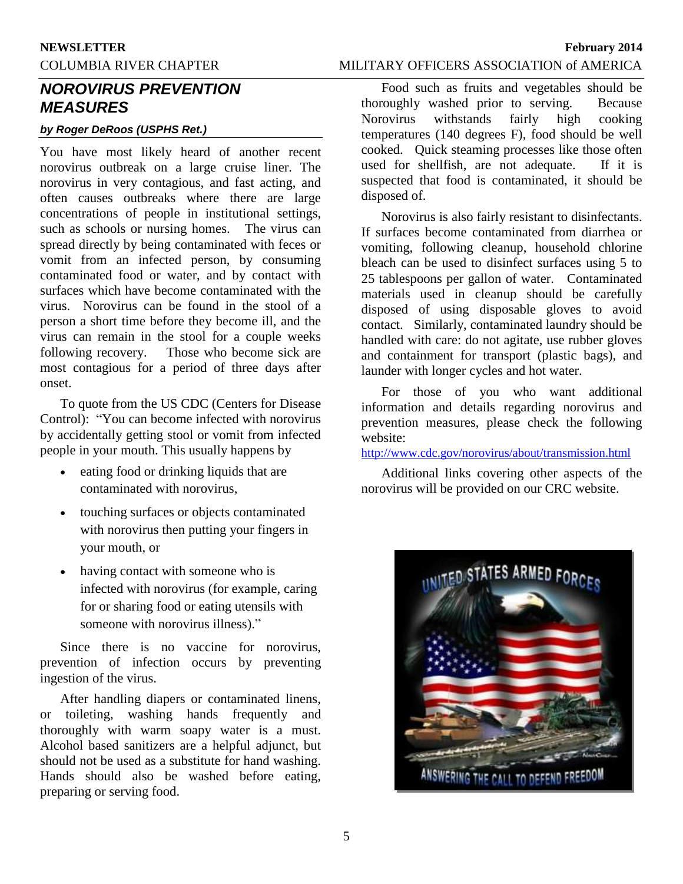# **NEWSLETTER February 2014**

## COLUMBIA RIVER CHAPTER MILITARY OFFICERS ASSOCIATION of AMERICA

## *NOROVIRUS PREVENTION MEASURES*

### *by Roger DeRoos (USPHS Ret.)*

You have most likely heard of another recent norovirus outbreak on a large cruise liner. The norovirus in very contagious, and fast acting, and often causes outbreaks where there are large concentrations of people in institutional settings, such as schools or nursing homes. The virus can spread directly by being contaminated with feces or vomit from an infected person, by consuming contaminated food or water, and by contact with surfaces which have become contaminated with the virus. Norovirus can be found in the stool of a person a short time before they become ill, and the virus can remain in the stool for a couple weeks following recovery. Those who become sick are most contagious for a period of three days after onset.

To quote from the US CDC (Centers for Disease Control): "You can become infected with norovirus by accidentally getting stool or vomit from infected people in your mouth. This usually happens by

- eating food or drinking liquids that are contaminated with norovirus,
- touching surfaces or objects contaminated with norovirus then putting your fingers in your mouth, or
- having contact with someone who is infected with norovirus (for example, caring for or sharing food or eating utensils with someone with norovirus illness)."

Since there is no vaccine for norovirus, prevention of infection occurs by preventing ingestion of the virus.

After handling diapers or contaminated linens, or toileting, washing hands frequently and thoroughly with warm soapy water is a must. Alcohol based sanitizers are a helpful adjunct, but should not be used as a substitute for hand washing. Hands should also be washed before eating, preparing or serving food.

Food such as fruits and vegetables should be thoroughly washed prior to serving. Because Norovirus withstands fairly high cooking temperatures (140 degrees F), food should be well cooked. Quick steaming processes like those often used for shellfish, are not adequate. If it is suspected that food is contaminated, it should be disposed of.

Norovirus is also fairly resistant to disinfectants. If surfaces become contaminated from diarrhea or vomiting, following cleanup, household chlorine bleach can be used to disinfect surfaces using 5 to 25 tablespoons per gallon of water. Contaminated materials used in cleanup should be carefully disposed of using disposable gloves to avoid contact. Similarly, contaminated laundry should be handled with care: do not agitate, use rubber gloves and containment for transport (plastic bags), and launder with longer cycles and hot water.

For those of you who want additional information and details regarding norovirus and prevention measures, please check the following website:

<http://www.cdc.gov/norovirus/about/transmission.html>

Additional links covering other aspects of the norovirus will be provided on our CRC website.

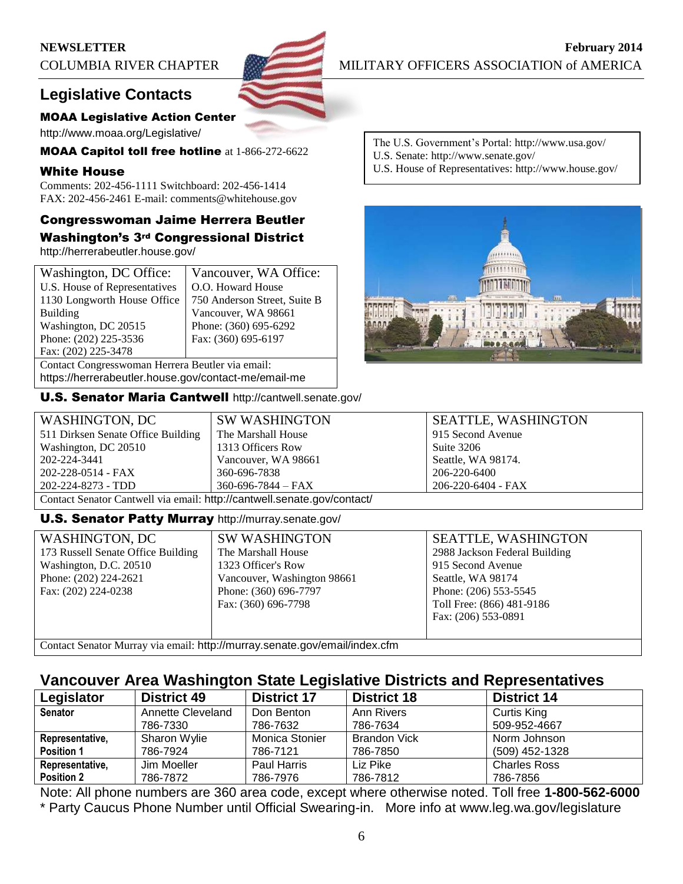## **Legislative Contacts**

### MOAA Legislative Action Center

http://www.moaa.org/Legislative/

MOAA Capitol toll free hotline at 1-866-272-6622

### White House

Comments: 202-456-1111 Switchboard: 202-456-1414 FAX: 202-456-2461 E-mail: comments@whitehouse.gov

# Congresswoman Jaime Herrera Beutler

Washington's 3rd Congressional District http://herrerabeutler.house.gov/

| Washington, DC Office:                               | Vancouver, WA Office:        |  |
|------------------------------------------------------|------------------------------|--|
| U.S. House of Representatives                        | O.O. Howard House            |  |
| 1130 Longworth House Office                          | 750 Anderson Street, Suite B |  |
| Building                                             | Vancouver, WA 98661          |  |
| Washington, DC 20515                                 | Phone: (360) 695-6292        |  |
| Phone: (202) 225-3536                                | Fax: (360) 695-6197          |  |
| Fax: (202) 225-3478                                  |                              |  |
| Contact Congresswoman Herrera Beutler via email:     |                              |  |
| https://herrerabeutler.house.gov/contact-me/email-me |                              |  |

U.S. Senator Maria Cantwell http://cantwell.senate.gov/

The U.S. Government's Portal: http://www.usa.gov/ U.S. Senate: http://www.senate.gov/ U.S. House of Representatives: http://www.house.gov/



| WASHINGTON, DC                                                          | <b>SW WASHINGTON</b>     | <b>SEATTLE, WASHINGTON</b> |  |  |  |  |
|-------------------------------------------------------------------------|--------------------------|----------------------------|--|--|--|--|
| 511 Dirksen Senate Office Building                                      | The Marshall House       | 915 Second Avenue          |  |  |  |  |
| Washington, DC 20510                                                    | 1313 Officers Row        | Suite 3206                 |  |  |  |  |
| 202-224-3441                                                            | Vancouver, WA 98661      | Seattle, WA 98174.         |  |  |  |  |
| 202-228-0514 - FAX                                                      | 360-696-7838             | 206-220-6400               |  |  |  |  |
| 202-224-8273 - TDD                                                      | $360 - 696 - 7844 - FAX$ | 206-220-6404 - FAX         |  |  |  |  |
| Contact Senator Cantwell via email: http://cantwell.senate.gov/contact/ |                          |                            |  |  |  |  |

### U.S. Senator Patty Murray http://murray.senate.gov/

| <b>WASHINGTON, DC</b>              |    |
|------------------------------------|----|
| 173 Russell Senate Office Building | TI |
| Washington, D.C. 20510             | 11 |
| Phone: (202) 224-2621              |    |
| Fax: (202) 224-0238                | Pl |
|                                    | F: |
|                                    |    |
|                                    |    |

W WASHINGTON he Marshall House 1323 Officer's Row ancouver, Washington 98661 hone: (360) 696-7797 ax: (360) 696-7798

SEATTLE, WASHINGTON 2988 Jackson Federal Building 915 Second Avenue Seattle, WA 98174 Phone: (206) 553-5545 Toll Free: (866) 481-9186 Fax: (206) 553-0891

Contact Senator Murray via email: http://murray.senate.gov/email/index.cfm

## **Vancouver Area Washington State Legislative Districts and Representatives**

| Legislator        | <b>District 49</b> | <b>District 17</b> | <b>District 18</b>  | <b>District 14</b>  |
|-------------------|--------------------|--------------------|---------------------|---------------------|
| <b>Senator</b>    | Annette Cleveland  | Don Benton         | Ann Rivers          | Curtis King         |
|                   | 786-7330           | 786-7632           | 786-7634            | 509-952-4667        |
| Representative,   | Sharon Wylie       | Monica Stonier     | <b>Brandon Vick</b> | Norm Johnson        |
| <b>Position 1</b> | 786-7924           | 786-7121           | 786-7850            | (509) 452-1328      |
| Representative,   | Jim Moeller        | Paul Harris        | Liz Pike            | <b>Charles Ross</b> |
| <b>Position 2</b> | 786-7872           | 786-7976           | 786-7812            | 786-7856            |

Note: All phone numbers are 360 area code, except where otherwise noted. Toll free **1-800-562-6000** \* Party Caucus Phone Number until Official Swearing-in. More info at www.leg.wa.gov/legislature

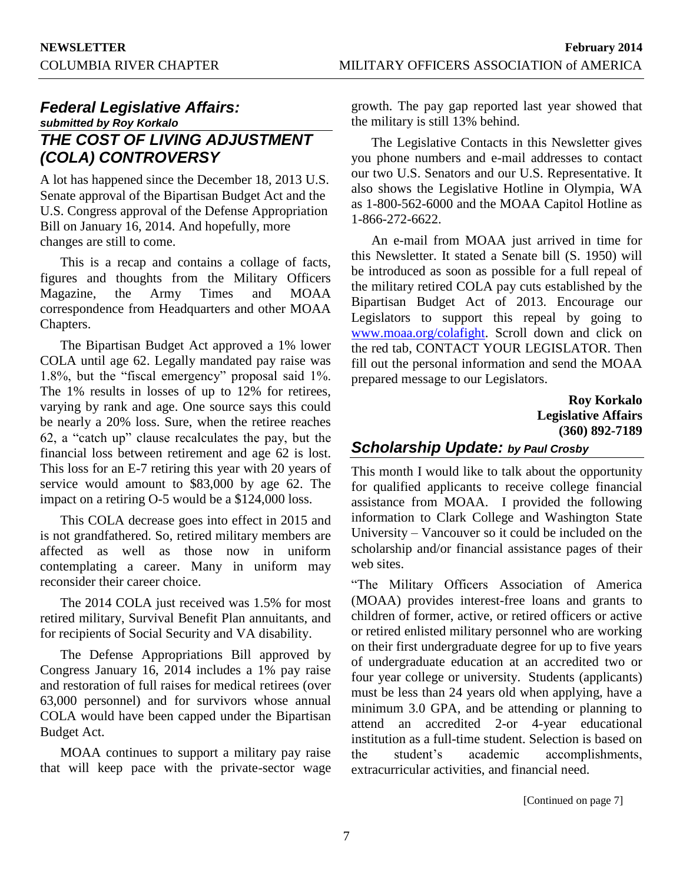## *Federal Legislative Affairs: submitted by Roy Korkalo THE COST OF LIVING ADJUSTMENT (COLA) CONTROVERSY*

A lot has happened since the December 18, 2013 U.S. Senate approval of the Bipartisan Budget Act and the U.S. Congress approval of the Defense Appropriation Bill on January 16, 2014. And hopefully, more changes are still to come.

This is a recap and contains a collage of facts, figures and thoughts from the Military Officers Magazine, the Army Times and MOAA correspondence from Headquarters and other MOAA Chapters.

The Bipartisan Budget Act approved a 1% lower COLA until age 62. Legally mandated pay raise was 1.8%, but the "fiscal emergency" proposal said 1%. The 1% results in losses of up to 12% for retirees, varying by rank and age. One source says this could be nearly a 20% loss. Sure, when the retiree reaches 62, a "catch up" clause recalculates the pay, but the financial loss between retirement and age 62 is lost. This loss for an E-7 retiring this year with 20 years of service would amount to \$83,000 by age 62. The impact on a retiring O-5 would be a \$124,000 loss.

This COLA decrease goes into effect in 2015 and is not grandfathered. So, retired military members are affected as well as those now in uniform contemplating a career. Many in uniform may reconsider their career choice.

The 2014 COLA just received was 1.5% for most retired military, Survival Benefit Plan annuitants, and for recipients of Social Security and VA disability.

The Defense Appropriations Bill approved by Congress January 16, 2014 includes a 1% pay raise and restoration of full raises for medical retirees (over 63,000 personnel) and for survivors whose annual COLA would have been capped under the Bipartisan Budget Act.

MOAA continues to support a military pay raise that will keep pace with the private-sector wage growth. The pay gap reported last year showed that the military is still 13% behind.

The Legislative Contacts in this Newsletter gives you phone numbers and e-mail addresses to contact our two U.S. Senators and our U.S. Representative. It also shows the Legislative Hotline in Olympia, WA as 1-800-562-6000 and the MOAA Capitol Hotline as 1-866-272-6622.

An e-mail from MOAA just arrived in time for this Newsletter. It stated a Senate bill (S. 1950) will be introduced as soon as possible for a full repeal of the military retired COLA pay cuts established by the Bipartisan Budget Act of 2013. Encourage our Legislators to support this repeal by going to [www.moaa.org/colafight.](http://www.moaa.org/colafight) Scroll down and click on the red tab, CONTACT YOUR LEGISLATOR. Then fill out the personal information and send the MOAA prepared message to our Legislators.

> **Roy Korkalo Legislative Affairs (360) 892-7189**

## *Scholarship Update: by Paul Crosby*

This month I would like to talk about the opportunity for qualified applicants to receive college financial assistance from MOAA. I provided the following information to Clark College and Washington State University – Vancouver so it could be included on the scholarship and/or financial assistance pages of their web sites.

"The Military Officers Association of America (MOAA) provides interest-free loans and grants to children of former, active, or retired officers or active or retired enlisted military personnel who are working on their first undergraduate degree for up to five years of undergraduate education at an accredited two or four year college or university. Students (applicants) must be less than 24 years old when applying, have a minimum 3.0 GPA, and be attending or planning to attend an accredited 2-or 4-year educational institution as a full-time student. Selection is based on the student's academic accomplishments, extracurricular activities, and financial need.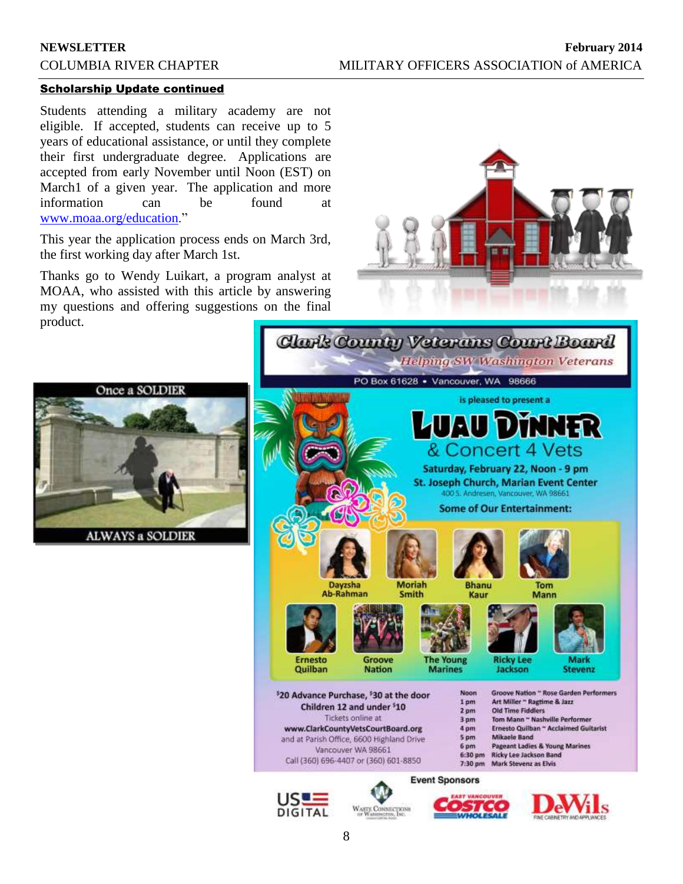### Scholarship Update continued

Students attending a military academy are not eligible. If accepted, students can receive up to 5 years of educational assistance, or until they complete their first undergraduate degree. Applications are accepted from early November until Noon (EST) on March1 of a given year. The application and more information can be found at [www.moaa.org/education.](http://www.moaa.org/education)"

This year the application process ends on March 3rd, the first working day after March 1st.

Thanks go to Wendy Luikart, a program analyst at MOAA, who assisted with this article by answering my questions and offering suggestions on the final product.







**DIGITAL**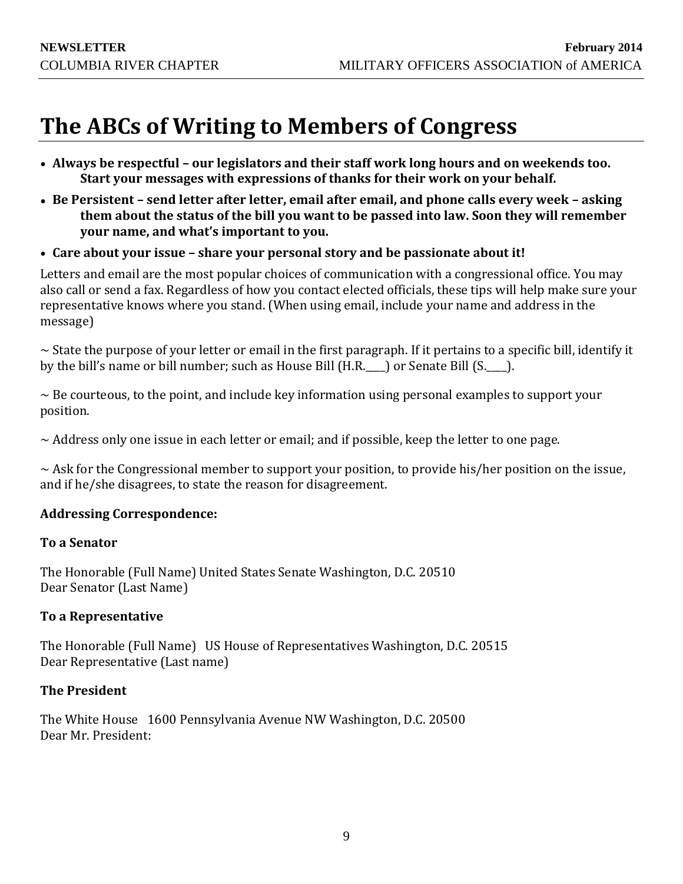# **The ABCs of Writing to Members of Congress**

- **Always be respectful – our legislators and their staff work long hours and on weekends too. Start your messages with expressions of thanks for their work on your behalf.**
- **Be Persistent – send letter after letter, email after email, and phone calls every week – asking them about the status of the bill you want to be passed into law. Soon they will remember your name, and what's important to you.**
- **Care about your issue – share your personal story and be passionate about it!**

Letters and email are the most popular choices of communication with a congressional office. You may also call or send a fax. Regardless of how you contact elected officials, these tips will help make sure your representative knows where you stand. (When using email, include your name and address in the message)

~ State the purpose of your letter or email in the first paragraph. If it pertains to a specific bill, identify it by the bill's name or bill number; such as House Bill (H.R. ) or Senate Bill (S. ).

 $\sim$  Be courteous, to the point, and include key information using personal examples to support your position.

 $\sim$  Address only one issue in each letter or email; and if possible, keep the letter to one page.

 $\sim$  Ask for the Congressional member to support your position, to provide his/her position on the issue, and if he/she disagrees, to state the reason for disagreement.

## **Addressing Correspondence:**

## **To a Senator**

The Honorable (Full Name) United States Senate Washington, D.C. 20510 Dear Senator (Last Name)

## **To a Representative**

The Honorable (Full Name) US House of Representatives Washington, D.C. 20515 Dear Representative (Last name)

## **The President**

The White House 1600 Pennsylvania Avenue NW Washington, D.C. 20500 Dear Mr. President: